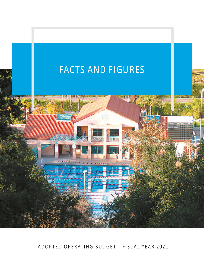

# ADOPTED OPERATING BUDGET | FISCAL YEAR 2021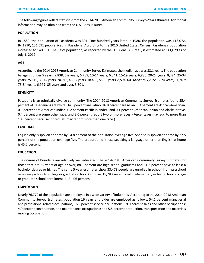The following figures reflect statistics from the 2014-2018 American Community Survey 5-Year Estimates. Additional information may be obtained from the U.S. Census Bureau.

## **POPULATION**

In 1880, the population of Pasadena was 391. One hundred years later, in 1980, the population was 118,072. By 1990, 131,591 people lived in Pasadena. According to the 2010 United States Census, Pasadena's population increased to 140,881. The City's population, as reported by the U.S. Census Bureau, is estimated at 141,029 as of July 1, 2019.

## **AGE**

According to the 2014-2018 American Community Survey Estimates, the median age was 38.1 years. The population by age is: under 5 years, 9,838; 5-9 years, 6,709; 10-14 years, 6,341; 15-19 years, 6,886; 20-24 years, 8,484; 25-34 years, 25,119; 35-44 years, 20,945; 45-54 years, 18,468; 55-59 years, 8,594; 60--64 years, 7,815; 65-74 years, 11,767; 75-84 years, 6,979; 85 years and over, 3,301.

## **ETHNICITY**

Pasadena is an ethnically diverse community. The 2014-2018 American Community Survey Estimates found 35.4 percent of Pasadenans are white, 34.8 percent are Latino, 16.8 percent are Asian, 9.3 percent are African-American, 0.1 percent are American Indian, 0.2 percent Pacific Islander, and 0.1 percent American Indian and Alaska Native, 0.4 percent are some other race, and 3.0 percent report two or more races. (Percentages may add to more than 100 percent because individuals may report more than one race.)

## **LANGUAGE**

English only is spoken at home by 54.8 percent of the population over age five. Spanish is spoken at home by 27.5 percent of the population over age five. The proportion of those speaking a language other than English at home is 45.2 percent.

## **EDUCATION**

The citizens of Pasadena are relatively well educated: The 2014- 2018 American Community Survey Estimates for those that are 25 years of age or over, 88.1 percent are high school graduates and 51.2 percent have at least a bachelor degree or higher. The same 5-year estimates show 33,473 people are enrolled in school, from preschool or nursery school to college or graduate school. Of those, 15,280 are enrolled in elementary or high school; college or graduate school enrollment is 13,406 persons.

## **EMPLOYMENT**

Nearly 76,779 of the population are employed in a wide variety of industries. According to the 2014-2018 American Community Survey Estimates, population 16 years and older are employed as follows: 54.1 percent managerial and professional related occupations; 16.5 percent service occupations; 19.0 percent sales and office occupations; 4.9 percent construction, and maintenance occupations; and 5.5 percent production, transportation and materials moving occupations.